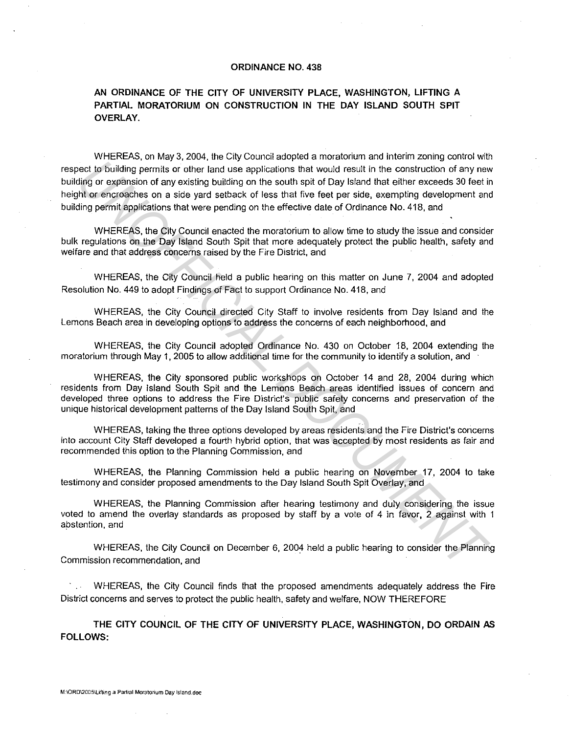## **ORDINANCE NO. 438**

## **AN ORDINANCE OF THE CITY OF UNIVERSITY PLACE, WASHINGTON, LIFTING A PARTIAL MORATORIUM ON CONSTRUCTION IN THE DAY ISLAND SOUTH SPIT OVERLAY.**

WHEREAS, on May 3, 2004, the City Council adopted a moratorium and interim zoning control with respect to building permits or other land use applications that would result in the construction of any new building or expansion of any existing building on the south spit of Day Island that either exceeds 30 feet in height or encroaches on a side yard setback of less that five feet per side, exempting development and building permit applications that were pending on the effective date of Ordinance No. 418, and oled to building permits or other hand vaso applications that would result in the construction of any new content<br>of a building permits of other hand vaso applications that would result in the construction of any new<br>info

WHEREAS, the City Council enacted the moratorium to allow time to study the issue and consider bulk regulations on the Day Island South Spit that more adequately protect the public health, safety and welfare and that address concerns raised by the Fire District, and

WHEREAS. the City Council held a public hearing on this matter on June 7, 2004 and adopted Resolution No. 449 to adopt Findings of Fact to support Ordinance No. 418, and

WHEREAS, the City Council directed City Staff to involve residents from Day Island and the Lemons Beach area in developing options to address the concerns of each neighborhood, and

WHEREAS, the City Council adopted Ordinance No. 430 on October 18, 2004 extending the moratorium through May 1, 2005 to allow additional time for the community to identify a solution, and

WHEREAS. the City sponsored public workshops on October 14 and 28, 2004 during which residents from Day Island South Spit and the Lemons Beach areas identified issues of concern and developed three options to address the Fire District's public safety concerns and preservation of the unique historical development patterns of the Day Island South Spit, and

WHEREAS, taking the three options developed by areas residents and the Fire District's concerns into account City Staff developed a fourth hybrid option. that was accepted by most residents as fair and recommended this option to the Planning Commission, and

WHEREAS, the Planning Commission held a public hearing on November 17, 2004 to take testimony and consider proposed amendments to the Day Island South Spit Overlay, and

WHEREAS, the Planning Commission after hearing testimony and duly considering the issue voted to amend the overlay standards as proposed by staff by a vote of 4 in favor, 2 against with 1 abstention. and

WHEREAS, the City Council on December 6, 2004 held a public hearing to consider the Planning Commission recommendation. and

WHEREAS, the City Council finds that the proposed amendments adequately address the Fire District concerns and serves to protect the public health. safety and welfare, NOW THEREFORE

**THE CITY COUNCIL OF THE CITY OF UNIVERSITY PLACE, WASHINGTON, DO ORDAIN AS FOLLOWS:**